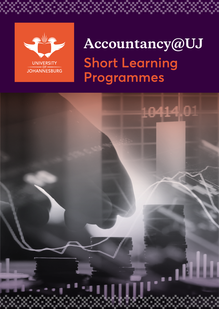

# **Accountancy@UJ Short Learning Programmes**

\*\*\*\*\*\*\*

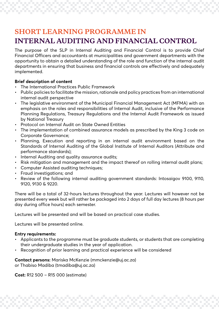# **SHORT LEARNING PROGRAMME IN INTERNAL AUDITING AND FINANCIAL CONTROL**

The purpose of the SLP in Internal Auditing and Financial Control is to provide Chief Financial Officers and accountants at municipalities and government departments with the opportunity to obtain a detailed understanding of the role and function of the internal audit departments in ensuring that business and financial controls are effectively and adequately implemented.

# **Brief description of content**

- The International Practices Public Framework
- Public policies to facilitate the mission, rationale and policy practices from an international internal audit perspective
- The legislative environment of the Municipal Financial Management Act (MFMA) with an emphasis on the roles and responsibilities of Internal Audit, inclusive of the Performance Planning Regulations, Treasury Regulations and the Internal Audit Framework as issued by National Treasury
- Protocol on Internal Audit on State Owned Entities
- The implementation of combined assurance models as prescribed by the King 3 code on Corporate Governance;
- Planning, Execution and reporting in an internal audit environment based on the Standards of Internal Auditing of the Global Institute of Internal Auditors (Attribute and performance standards);
- Internal Auditing and quality assurance audits;
- Risk mitigation and management and the impact thereof on rolling internal audit plans;
- Computer Assisted auditing techniques;
- Fraud investigations; and
- Review of the following internal auditing government standards: Intosaigov 9100, 9110, 9120, 9130 & 9220.

There will be a total of 32-hours lectures throughout the year. Lectures will however not be presented every week but will rather be packaged into 2 days of full day lectures (8 hours per day during office hours) each semester.

Lectures will be presented and will be based on practical case studies.

Lectures will be presented online.

# **Entry requirements:**

- Applicants to the programme must be graduate students, or students that are completing their undergraduate studies in the year of application.
- Recognition of prior learning and practical experience will be considered

**Contact persons:** Mariska McKenzie [\(mmckenzie@uj.ac.za](mailto:mmckenzie@uj.ac.za)) or Thabiso Madiba ([tmadiba@uj.ac.za\)](mailto:tmadiba@uj.ac.za)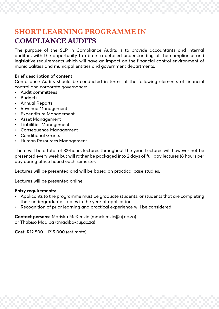# **SHORT LEARNING PROGRAMME IN COMPLIANCE AUDITS**

The purpose of the SLP in Compliance Audits is to provide accountants and internal auditors with the opportunity to obtain a detailed understanding of the compliance and legislative requirements which will have an impact on the financial control environment of municipalities and municipal entities and government departments.

# **Brief description of content**

Compliance Audits should be conducted in terms of the following elements of financial control and corporate governance:

- Audit committees
- Budgets
- Annual Reports
- Revenue Management
- Expenditure Management
- Asset Management
- Liabilities Management
- Consequence Management
- Conditional Grants
- Human Resources Management

There will be a total of 32-hours lectures throughout the year. Lectures will however not be presented every week but will rather be packaged into 2 days of full day lectures (8 hours per day during office hours) each semester.

Lectures will be presented and will be based on practical case studies.

Lectures will be presented online.

### **Entry requirements:**

- Applicants to the programme must be graduate students, or students that are completing their undergraduate studies in the year of application.
- Recognition of prior learning and practical experience will be considered

**Contact persons:** Mariska McKenzie [\(mmckenzie@uj.ac.za](mailto:mmckenzie@uj.ac.za)) or Thabiso Madiba ([tmadiba@uj.ac.za\)](mailto:tmadiba@uj.ac.za)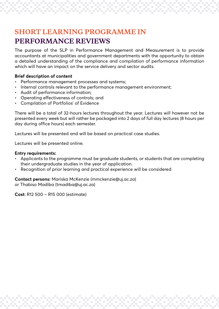# **SHORT LEARNING PROGRAMME IN PERFORMANCE REVIEWS**

The purpose of the SLP in Performance Management and Measurement is to provide accountants at municipalities and government departments with the opportunity to obtain a detailed understanding of the compliance and compilation of performance information which will have an impact on the service delivery and sector audits.

## **Brief description of content**

- Performance management processes and systems;
- Internal controls relevant to the performance management environment;
- Audit of performance information;
- Operating effectiveness of controls; and
- Compilation of Portfolios' of Evidence

There will be a total of 32-hours lectures throughout the year. Lectures will however not be presented every week but will rather be packaged into 2 days of full day lectures (8 hours per day during office hours) each semester.

Lectures will be presented and will be based on practical case studies.

Lectures will be presented online.

### **Entry requirements:**

- Applicants to the programme must be graduate students, or students that are completing their undergraduate studies in the year of application.
- Recognition of prior learning and practical experience will be considered

**Contact persons:** Mariska McKenzie [\(mmckenzie@uj.ac.za](mailto:mmckenzie@uj.ac.za)) or Thabiso Madiba ([tmadiba@uj.ac.za\)](mailto:tmadiba@uj.ac.za)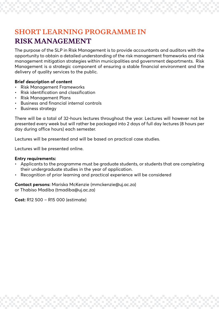# **SHORT LEARNING PROGRAMME IN RISK MANAGEMENT**

The purpose of the SLP in Risk Management is to provide accountants and auditors with the opportunity to obtain a detailed understanding of the risk management frameworks and risk management mitigation strategies within municipalities and government departments. Risk Management is a strategic component of ensuring a stable financial environment and the delivery of quality services to the public.

# **Brief description of content**

- Risk Management Frameworks
- Risk identification and classification
- Risk Management Plans
- Business and financial internal controls
- Business strategy

There will be a total of 32-hours lectures throughout the year. Lectures will however not be presented every week but will rather be packaged into 2 days of full day lectures (8 hours per day during office hours) each semester.

Lectures will be presented and will be based on practical case studies.

Lectures will be presented online.

### **Entry requirements:**

- Applicants to the programme must be graduate students, or students that are completing their undergraduate studies in the year of application.
- Recognition of prior learning and practical experience will be considered

**Contact persons:** Mariska McKenzie [\(mmckenzie@uj.ac.za](mailto:mmckenzie@uj.ac.za)) or Thabiso Madiba ([tmadiba@uj.ac.za\)](mailto:tmadiba@uj.ac.za)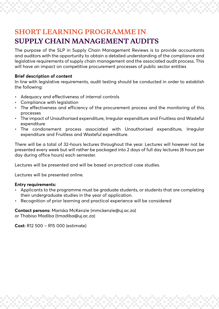# **SHORT LEARNING PROGRAMME IN SUPPLY CHAIN MANAGEMENT AUDITS**

The purpose of the SLP in Supply Chain Management Reviews is to provide accountants and auditors with the opportunity to obtain a detailed understanding of the compliance and legislative requirements of supply chain management and the associated audit process. This will have an impact on competitive procurement processes of public sector entities

## **Brief description of content**

In line with legislative requirements, audit testing should be conducted in order to establish the following:

- Adequacy and effectiveness of internal controls
- Compliance with leaislation
- The effectiveness and efficiency of the procurement process and the monitoring of this processes
- The impact of Unauthorised expenditure, Irregular expenditure and Fruitless and Wasteful expenditure
- The condonement process associated with Unauthorised expenditure, Irregular expenditure and Fruitless and Wasteful expenditure.

There will be a total of 32-hours lectures throughout the year. Lectures will however not be presented every week but will rather be packaged into 2 days of full day lectures (8 hours per day during office hours) each semester.

Lectures will be presented and will be based on practical case studies.

Lectures will be presented online.

### **Entry requirements:**

- Applicants to the programme must be graduate students, or students that are completing their undergraduate studies in the year of application.
- Recognition of prior learning and practical experience will be considered

**Contact persons:** Mariska McKenzie [\(mmckenzie@uj.ac.za](mailto:mmckenzie@uj.ac.za)) or Thabiso Madiba ([tmadiba@uj.ac.za\)](mailto:tmadiba@uj.ac.za)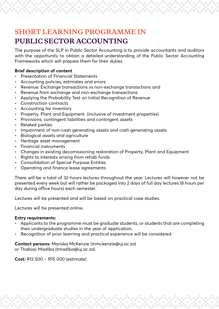# **SHORT LEARNING PROGRAMME IN**

# **PUBLIC SECTOR ACCOUNTING**

The purpose of the SLP in Public Sector Accounting is to provide accountants and auditors with the opportunity to obtain a detailed understanding of the Public Sector Accounting Frameworks which will prepare them for their duties.

# **Brief description of content**

- Presentation of Financial Statements
- Accounting policies, estimates and errors
- Revenue: Exchange transactions vs non-exchange transactions and
- Revenue from exchange and non-exchange transactions
- Applying the Probability Test on Initial Recognition of Revenue
- Construction contracts
- Accounting for inventory
- Property, Plant and Equipment (inclusive of investment properties)
- Provisions, contingent liabilities and contingent assets
- Related parties
- Impairment of non-cash generating assets and cash generating assets
- Biological assets and agriculture
- Heritage asset management
- Financial instruments
- Changes in existing decomissioning restoration of Property, Plant and Equipment
- Rights to interests arising from rehab funds
- Consolidation of Special Purpose Entities
- Operating and finance lease agreements

There will be a total of 32-hours lectures throughout the year. Lectures will however not be presented every week but will rather be packaged into 2 days of full day lectures (8 hours per day during office hours) each semester.

Lectures will be presented and will be based on practical case studies.

Lectures will be presented online.

# **Entry requirements:**

- Applicants to the programme must be graduate students, or students that are completing their undergraduate studies in the year of application.
- Recognition of prior learning and practical experience will be considered

**Contact persons:** Mariska McKenzie [\(mmckenzie@uj.ac.za](mailto:mmckenzie@uj.ac.za)) or Thabiso Madiba ([tmadiba@uj.ac.za\)](mailto:tmadiba@uj.ac.za)